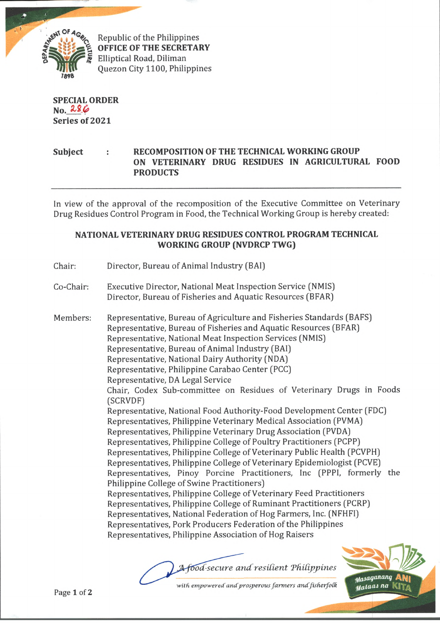

**OFFICE OF THE SECRETARY** Elliptical Road, Diliman Quezon City 1100, Philippines

**SPECIAL ORDER No. & £ £ Series of 2021**

## **Subject : RECOMPOSITION OF THE TECHNICAL WORKING GROUP ON VETERINARY DRUG RESIDUES IN AGRICULTURAL FOOD PRODUCTS**

In view of the approval of the recomposition of the Executive Committee on Veterinary Drug Residues Control Program in Food, the Technical Working Group is hereby created:

## **NATIONAL VETERINARY DRUG RESIDUES CONTROL PROGRAM TECHNICAL WORKING GROUP (NVDRCP TWG)**

- Chair: Director, Bureau of Animal Industry (BAI)
- Co-Chair: Executive Director, National Meat Inspection Service (NMIS) Director, Bureau of Fisheries and Aquatic Resources (BFAR)

Members: Representative, Bureau of Agriculture and Fisheries Standards (BAFS) Representative, Bureau of Fisheries and Aquatic Resources (BFAR) Representative, National Meat Inspection Services (NMIS) Representative, Bureau of Animal Industry (BAI) Representative, National Dairy Authority (NDA) Representative, Philippine Carabao Center (PCC) Representative, DA Legal Service Chair, Codex Sub-committee on Residues of Veterinary Drugs in Foods (SCRVDF) Representative, National Food Authority-Food Development Center (FDC) Representatives, Philippine Veterinary Medical Association (PVMA) Representatives, Philippine Veterinary Drug Association (PVDA) Representatives, Philippine College of Poultry Practitioners (PCPP) Representatives, Philippine College of Veterinary Public Health (PCVPH) Representatives, Philippine College of Veterinary Epidemiologist (PCVE) Representatives, Pinoy Porcine Practitioners, Inc (PPPI, formerly the Philippine College of Swine Practitioners) Representatives, Philippine College of Veterinary Feed Practitioners Representatives, Philippine College of Ruminant Practitioners (PCRP) Representatives, National Federation of Hog Farmers, Inc. (NFHF1) Representatives, Pork Producers Federation of the Philippines Representatives, Philippine Association of Hog Raisers

with empowered and prosperous farmers and fisherfolk *A-food-secure and resilient Philippines*